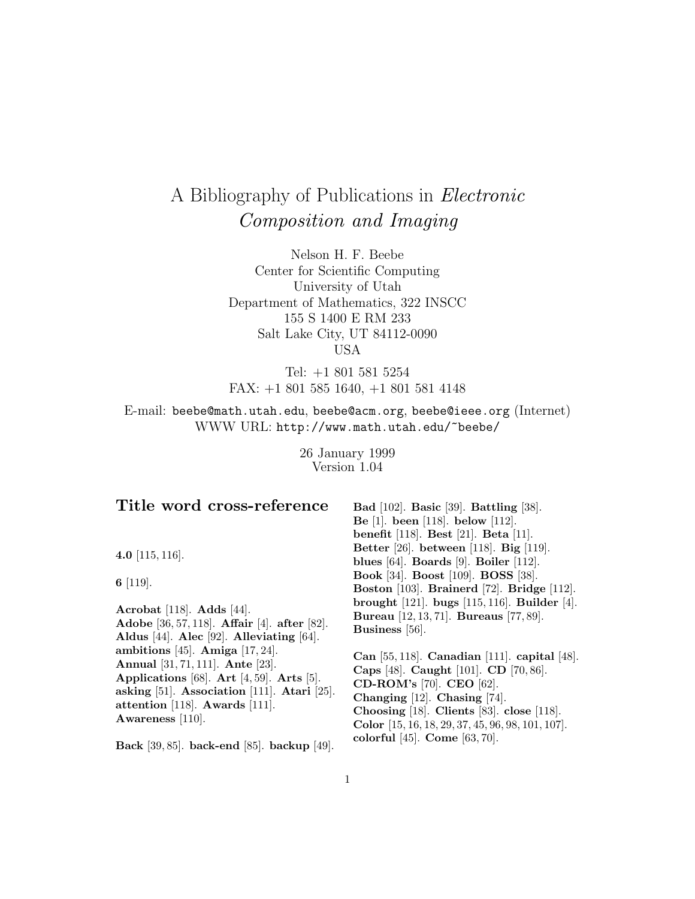# A Bibliography of Publications in Electronic Composition and Imaging

Nelson H. F. Beebe Center for Scientific Computing University of Utah Department of Mathematics, 322 INSCC 155 S 1400 E RM 233 Salt Lake City, UT 84112-0090 USA

Tel: +1 801 581 5254 FAX: +1 801 585 1640, +1 801 581 4148

E-mail: beebe@math.utah.edu, beebe@acm.org, beebe@ieee.org (Internet) WWW URL: http://www.math.utah.edu/~beebe/

> 26 January 1999 Version 1.04

| Title word cross-reference                       | Bad $[102]$ . Basic $[39]$ . Battling $[38]$ .          |
|--------------------------------------------------|---------------------------------------------------------|
|                                                  | Be [1]. been [118]. below [112].                        |
|                                                  | benefit [118]. Best [21]. Beta [11].                    |
|                                                  | Better [26]. between [118]. Big [119].                  |
| 4.0 $[115, 116]$ .                               | blues $[64]$ . Boards $[9]$ . Boiler $[112]$ .          |
| 6 $[119]$ .                                      | <b>Book</b> [34]. <b>Boost</b> [109]. <b>BOSS</b> [38]. |
|                                                  | Boston [103]. Brainerd [72]. Bridge [112].              |
|                                                  | brought $[121]$ . bugs $[115, 116]$ . Builder $[4]$ .   |
| Acrobat [118]. Adds [44].                        | Bureau [12, 13, 71]. Bureaus [77, 89].                  |
| Adobe [36, 57, 118]. Affair [4]. after [82].     | Business [56].                                          |
| Aldus [44]. Alec [92]. Alleviating [64].         |                                                         |
| ambitions [45]. Amiga [17, 24].                  | Can $[55, 118]$ . Canadian [111]. capital [48].         |
| Annual [31, 71, 111]. Ante [23].                 | Caps [48]. Caught [101]. CD [70, 86].                   |
| Applications [68]. Art [4, 59]. Arts [5].        | <b>CD-ROM's</b> [70]. <b>CEO</b> [62].                  |
| asking [51]. Association [111]. Atari [25].      | Changing $[12]$ . Chasing $[74]$ .                      |
| attention [118]. Awards [111].                   | Choosing [18]. Clients [83]. close [118].               |
| Awareness $[110]$ .                              | Color $[15, 16, 18, 29, 37, 45, 96, 98, 101, 107]$ .    |
| $D - 1$ , [20, 25], L, 1, , 1 [25], L, 1, , [40] | colorful [45]. Come [63, 70].                           |

**Back** [39, 85]. **back-end** [85]. **backup** [49].

1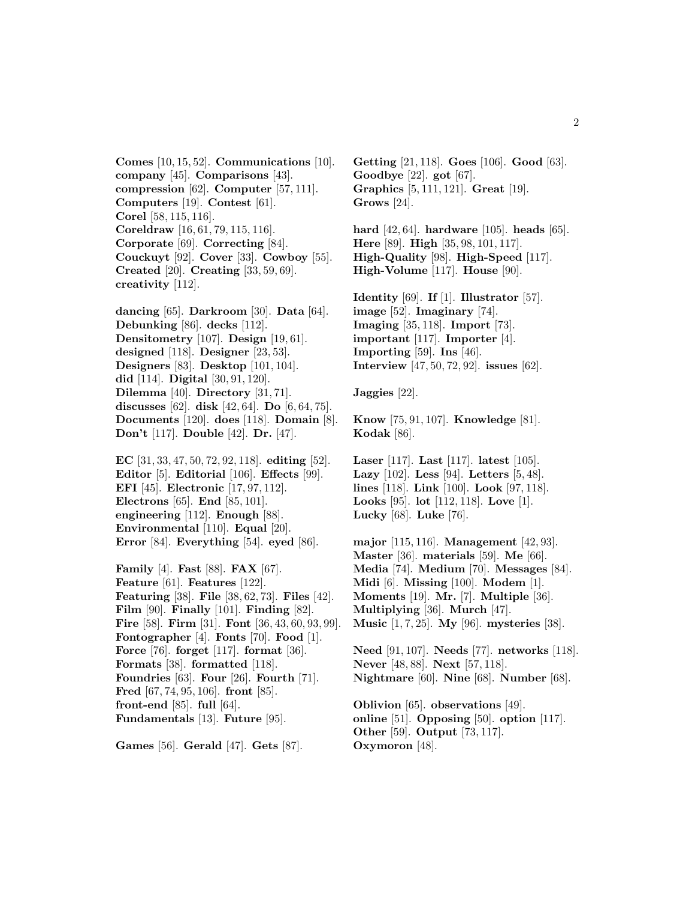**Comes** [10, 15, 52]. **Communications** [10]. **company** [45]. **Comparisons** [43]. **compression** [62]. **Computer** [57, 111]. **Computers** [19]. **Contest** [61]. **Corel** [58, 115, 116]. **Coreldraw** [16, 61, 79, 115, 116]. **Corporate** [69]. **Correcting** [84]. **Couckuyt** [92]. **Cover** [33]. **Cowboy** [55]. **Created** [20]. **Creating** [33, 59, 69]. **creativity** [112].

**dancing** [65]. **Darkroom** [30]. **Data** [64]. **Debunking** [86]. **decks** [112]. **Densitometry** [107]. **Design** [19, 61]. **designed** [118]. **Designer** [23, 53]. **Designers** [83]. **Desktop** [101, 104]. **did** [114]. **Digital** [30, 91, 120]. **Dilemma** [40]. **Directory** [31, 71]. **discusses** [62]. **disk** [42, 64]. **Do** [6, 64, 75]. **Documents** [120]. **does** [118]. **Domain** [8]. **Don't** [117]. **Double** [42]. **Dr.** [47].

**EC** [31, 33, 47, 50, 72, 92, 118]. **editing** [52]. **Editor** [5]. **Editorial** [106]. **Effects** [99]. **EFI** [45]. **Electronic** [17, 97, 112]. **Electrons** [65]. **End** [85, 101]. **engineering** [112]. **Enough** [88]. **Environmental** [110]. **Equal** [20]. **Error** [84]. **Everything** [54]. **eyed** [86].

**Family** [4]. **Fast** [88]. **FAX** [67]. **Feature** [61]. **Features** [122]. **Featuring** [38]. **File** [38, 62, 73]. **Files** [42]. **Film** [90]. **Finally** [101]. **Finding** [82]. **Fire** [58]. **Firm** [31]. **Font** [36, 43, 60, 93, 99]. **Fontographer** [4]. **Fonts** [70]. **Food** [1]. **Force** [76]. **forget** [117]. **format** [36]. **Formats** [38]. **formatted** [118]. **Foundries** [63]. **Four** [26]. **Fourth** [71]. **Fred** [67, 74, 95, 106]. **front** [85]. **front-end** [85]. **full** [64]. **Fundamentals** [13]. **Future** [95].

**Games** [56]. **Gerald** [47]. **Gets** [87].

**Getting** [21, 118]. **Goes** [106]. **Good** [63]. **Goodbye** [22]. **got** [67]. **Graphics** [5, 111, 121]. **Great** [19]. **Grows** [24].

**hard** [42, 64]. **hardware** [105]. **heads** [65]. **Here** [89]. **High** [35, 98, 101, 117]. **High-Quality** [98]. **High-Speed** [117]. **High-Volume** [117]. **House** [90].

**Identity** [69]. **If** [1]. **Illustrator** [57]. **image** [52]. **Imaginary** [74]. **Imaging** [35, 118]. **Import** [73]. **important** [117]. **Importer** [4]. **Importing** [59]. **Ins** [46]. **Interview** [47, 50, 72, 92]. **issues** [62].

**Jaggies** [22].

**Know** [75, 91, 107]. **Knowledge** [81]. **Kodak** [86].

**Laser** [117]. **Last** [117]. **latest** [105]. **Lazy** [102]. **Less** [94]. **Letters** [5, 48]. **lines** [118]. **Link** [100]. **Look** [97, 118]. **Looks** [95]. **lot** [112, 118]. **Love** [1]. **Lucky** [68]. **Luke** [76].

**major** [115, 116]. **Management** [42, 93]. **Master** [36]. **materials** [59]. **Me** [66]. **Media** [74]. **Medium** [70]. **Messages** [84]. **Midi** [6]. **Missing** [100]. **Modem** [1]. **Moments** [19]. **Mr.** [7]. **Multiple** [36]. **Multiplying** [36]. **Murch** [47]. **Music** [1, 7, 25]. **My** [96]. **mysteries** [38].

**Need** [91, 107]. **Needs** [77]. **networks** [118]. **Never** [48, 88]. **Next** [57, 118]. **Nightmare** [60]. **Nine** [68]. **Number** [68].

**Oblivion** [65]. **observations** [49]. **online** [51]. **Opposing** [50]. **option** [117]. **Other** [59]. **Output** [73, 117]. **Oxymoron** [48].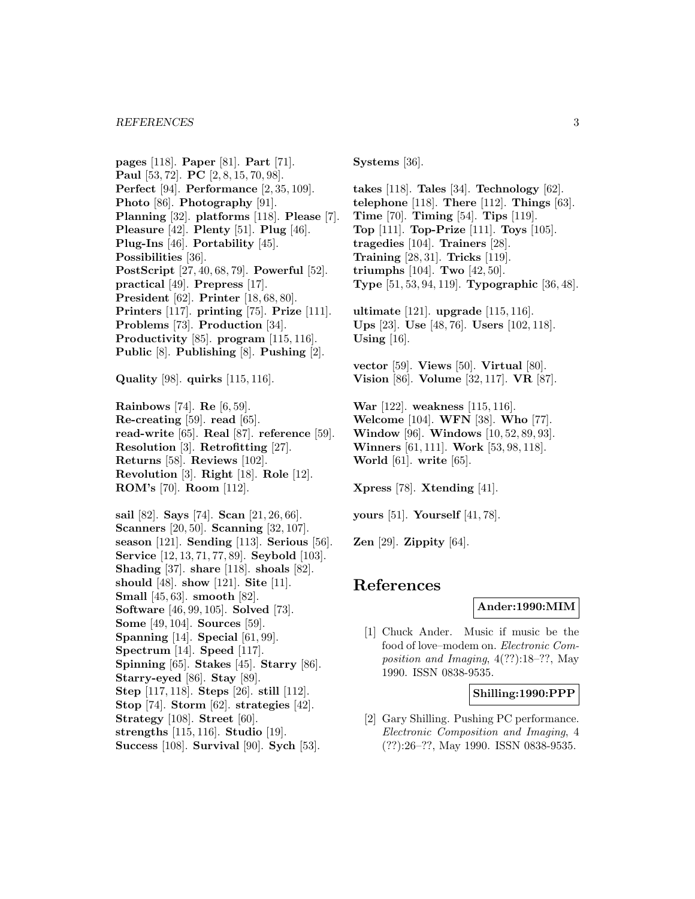**pages** [118]. **Paper** [81]. **Part** [71]. **Paul** [53, 72]. **PC** [2, 8, 15, 70, 98]. **Perfect** [94]. **Performance** [2, 35, 109]. **Photo** [86]. **Photography** [91]. **Planning** [32]. **platforms** [118]. **Please** [7]. **Pleasure** [42]. **Plenty** [51]. **Plug** [46]. **Plug-Ins** [46]. **Portability** [45]. **Possibilities** [36]. **PostScript** [27, 40, 68, 79]. **Powerful** [52]. **practical** [49]. **Prepress** [17]. **President** [62]. **Printer** [18, 68, 80]. **Printers** [117]. **printing** [75]. **Prize** [111]. **Problems** [73]. **Production** [34]. **Productivity** [85]. **program** [115, 116]. **Public** [8]. **Publishing** [8]. **Pushing** [2].

**Quality** [98]. **quirks** [115, 116].

**Rainbows** [74]. **Re** [6, 59]. **Re-creating** [59]. **read** [65]. **read-write** [65]. **Real** [87]. **reference** [59]. **Resolution** [3]. **Retrofitting** [27]. **Returns** [58]. **Reviews** [102]. **Revolution** [3]. **Right** [18]. **Role** [12]. **ROM's** [70]. **Room** [112].

**sail** [82]. **Says** [74]. **Scan** [21, 26, 66]. **Scanners** [20, 50]. **Scanning** [32, 107]. **season** [121]. **Sending** [113]. **Serious** [56]. **Service** [12, 13, 71, 77, 89]. **Seybold** [103]. **Shading** [37]. **share** [118]. **shoals** [82]. **should** [48]. **show** [121]. **Site** [11]. **Small** [45, 63]. **smooth** [82]. **Software** [46, 99, 105]. **Solved** [73]. **Some** [49, 104]. **Sources** [59]. **Spanning** [14]. **Special** [61, 99]. **Spectrum** [14]. **Speed** [117]. **Spinning** [65]. **Stakes** [45]. **Starry** [86]. **Starry-eyed** [86]. **Stay** [89]. **Step** [117, 118]. **Steps** [26]. **still** [112]. **Stop** [74]. **Storm** [62]. **strategies** [42]. **Strategy** [108]. **Street** [60]. **strengths** [115, 116]. **Studio** [19]. **Success** [108]. **Survival** [90]. **Sych** [53].

**Systems** [36].

**takes** [118]. **Tales** [34]. **Technology** [62]. **telephone** [118]. **There** [112]. **Things** [63]. **Time** [70]. **Timing** [54]. **Tips** [119]. **Top** [111]. **Top-Prize** [111]. **Toys** [105]. **tragedies** [104]. **Trainers** [28]. **Training** [28, 31]. **Tricks** [119]. **triumphs** [104]. **Two** [42, 50]. **Type** [51, 53, 94, 119]. **Typographic** [36, 48].

**ultimate** [121]. **upgrade** [115, 116]. **Ups** [23]. **Use** [48, 76]. **Users** [102, 118]. **Using** [16].

**vector** [59]. **Views** [50]. **Virtual** [80]. **Vision** [86]. **Volume** [32, 117]. **VR** [87].

**War** [122]. **weakness** [115, 116]. **Welcome** [104]. **WFN** [38]. **Who** [77]. **Window** [96]. **Windows** [10, 52, 89, 93]. **Winners** [61, 111]. **Work** [53, 98, 118]. **World** [61]. **write** [65].

**Xpress** [78]. **Xtending** [41].

**yours** [51]. **Yourself** [41, 78].

**Zen** [29]. **Zippity** [64].

# **References**

#### **Ander:1990:MIM**

[1] Chuck Ander. Music if music be the food of love–modem on. Electronic Composition and Imaging, 4(??):18–??, May 1990. ISSN 0838-9535.

### **Shilling:1990:PPP**

[2] Gary Shilling. Pushing PC performance. Electronic Composition and Imaging, 4 (??):26–??, May 1990. ISSN 0838-9535.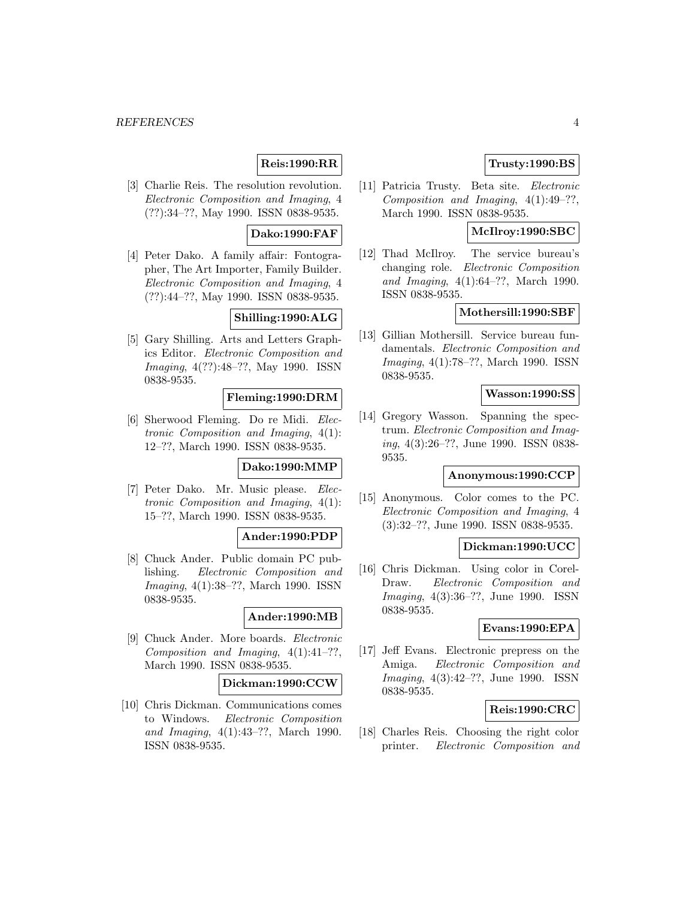### **Reis:1990:RR**

[3] Charlie Reis. The resolution revolution. Electronic Composition and Imaging, 4 (??):34–??, May 1990. ISSN 0838-9535.

### **Dako:1990:FAF**

[4] Peter Dako. A family affair: Fontographer, The Art Importer, Family Builder. Electronic Composition and Imaging, 4 (??):44–??, May 1990. ISSN 0838-9535.

# **Shilling:1990:ALG**

[5] Gary Shilling. Arts and Letters Graphics Editor. Electronic Composition and Imaging, 4(??):48–??, May 1990. ISSN 0838-9535.

### **Fleming:1990:DRM**

[6] Sherwood Fleming. Do re Midi. Electronic Composition and Imaging, 4(1): 12–??, March 1990. ISSN 0838-9535.

### **Dako:1990:MMP**

[7] Peter Dako. Mr. Music please. Electronic Composition and Imaging, 4(1): 15–??, March 1990. ISSN 0838-9535.

### **Ander:1990:PDP**

[8] Chuck Ander. Public domain PC publishing. Electronic Composition and Imaging, 4(1):38–??, March 1990. ISSN 0838-9535.

### **Ander:1990:MB**

[9] Chuck Ander. More boards. Electronic Composition and Imaging, 4(1):41–??, March 1990. ISSN 0838-9535.

#### **Dickman:1990:CCW**

[10] Chris Dickman. Communications comes to Windows. Electronic Composition and Imaging, 4(1):43–??, March 1990. ISSN 0838-9535.

### **Trusty:1990:BS**

[11] Patricia Trusty. Beta site. Electronic Composition and Imaging, 4(1):49–??, March 1990. ISSN 0838-9535.

## **McIlroy:1990:SBC**

[12] Thad McIlroy. The service bureau's changing role. Electronic Composition and Imaging, 4(1):64–??, March 1990. ISSN 0838-9535.

### **Mothersill:1990:SBF**

[13] Gillian Mothersill. Service bureau fundamentals. Electronic Composition and Imaging, 4(1):78–??, March 1990. ISSN 0838-9535.

### **Wasson:1990:SS**

[14] Gregory Wasson. Spanning the spectrum. Electronic Composition and Imaging, 4(3):26–??, June 1990. ISSN 0838- 9535.

#### **Anonymous:1990:CCP**

[15] Anonymous. Color comes to the PC. Electronic Composition and Imaging, 4 (3):32–??, June 1990. ISSN 0838-9535.

### **Dickman:1990:UCC**

[16] Chris Dickman. Using color in Corel-Draw. Electronic Composition and Imaging, 4(3):36–??, June 1990. ISSN 0838-9535.

### **Evans:1990:EPA**

[17] Jeff Evans. Electronic prepress on the Amiga. Electronic Composition and Imaging, 4(3):42–??, June 1990. ISSN 0838-9535.

#### **Reis:1990:CRC**

[18] Charles Reis. Choosing the right color printer. Electronic Composition and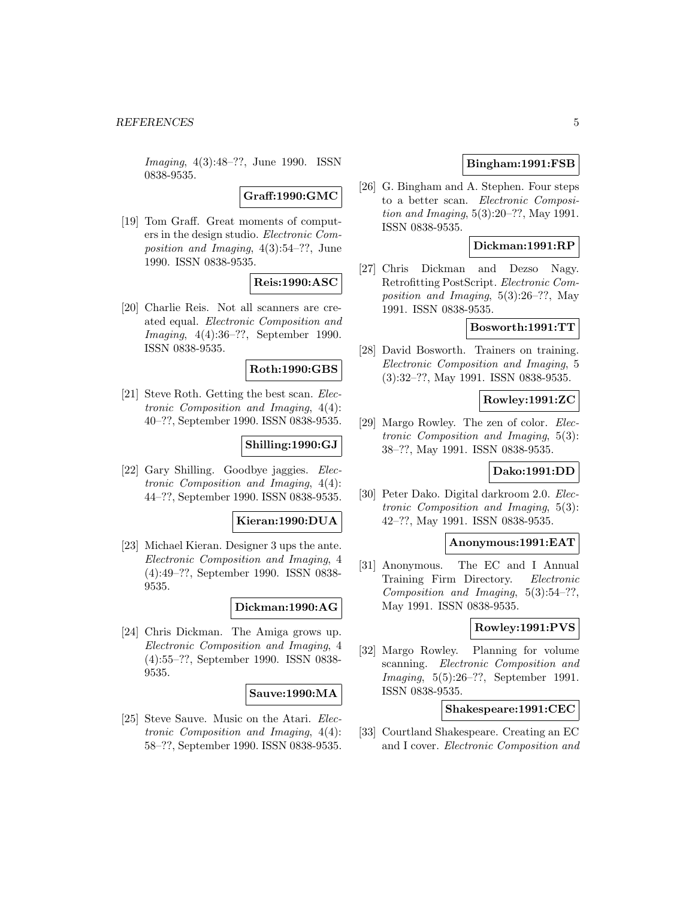Imaging, 4(3):48–??, June 1990. ISSN 0838-9535.

**Graff:1990:GMC**

[19] Tom Graff. Great moments of computers in the design studio. Electronic Composition and Imaging, 4(3):54–??, June 1990. ISSN 0838-9535.

### **Reis:1990:ASC**

[20] Charlie Reis. Not all scanners are created equal. Electronic Composition and Imaging, 4(4):36–??, September 1990. ISSN 0838-9535.

#### **Roth:1990:GBS**

[21] Steve Roth. Getting the best scan. Electronic Composition and Imaging, 4(4): 40–??, September 1990. ISSN 0838-9535.

#### **Shilling:1990:GJ**

[22] Gary Shilling. Goodbye jaggies. Electronic Composition and Imaging, 4(4): 44–??, September 1990. ISSN 0838-9535.

#### **Kieran:1990:DUA**

[23] Michael Kieran. Designer 3 ups the ante. Electronic Composition and Imaging, 4 (4):49–??, September 1990. ISSN 0838- 9535.

#### **Dickman:1990:AG**

[24] Chris Dickman. The Amiga grows up. Electronic Composition and Imaging, 4 (4):55–??, September 1990. ISSN 0838- 9535.

#### **Sauve:1990:MA**

[25] Steve Sauve. Music on the Atari. Electronic Composition and Imaging, 4(4): 58–??, September 1990. ISSN 0838-9535.

#### **Bingham:1991:FSB**

[26] G. Bingham and A. Stephen. Four steps to a better scan. Electronic Composition and Imaging, 5(3):20–??, May 1991. ISSN 0838-9535.

### **Dickman:1991:RP**

[27] Chris Dickman and Dezso Nagy. Retrofitting PostScript. Electronic Composition and Imaging, 5(3):26–??, May 1991. ISSN 0838-9535.

#### **Bosworth:1991:TT**

[28] David Bosworth. Trainers on training. Electronic Composition and Imaging, 5 (3):32–??, May 1991. ISSN 0838-9535.

### **Rowley:1991:ZC**

[29] Margo Rowley. The zen of color. Electronic Composition and Imaging, 5(3): 38–??, May 1991. ISSN 0838-9535.

#### **Dako:1991:DD**

[30] Peter Dako. Digital darkroom 2.0. Electronic Composition and Imaging, 5(3): 42–??, May 1991. ISSN 0838-9535.

### **Anonymous:1991:EAT**

[31] Anonymous. The EC and I Annual Training Firm Directory. Electronic Composition and Imaging, 5(3):54–??, May 1991. ISSN 0838-9535.

### **Rowley:1991:PVS**

[32] Margo Rowley. Planning for volume scanning. Electronic Composition and Imaging, 5(5):26–??, September 1991. ISSN 0838-9535.

#### **Shakespeare:1991:CEC**

[33] Courtland Shakespeare. Creating an EC and I cover. Electronic Composition and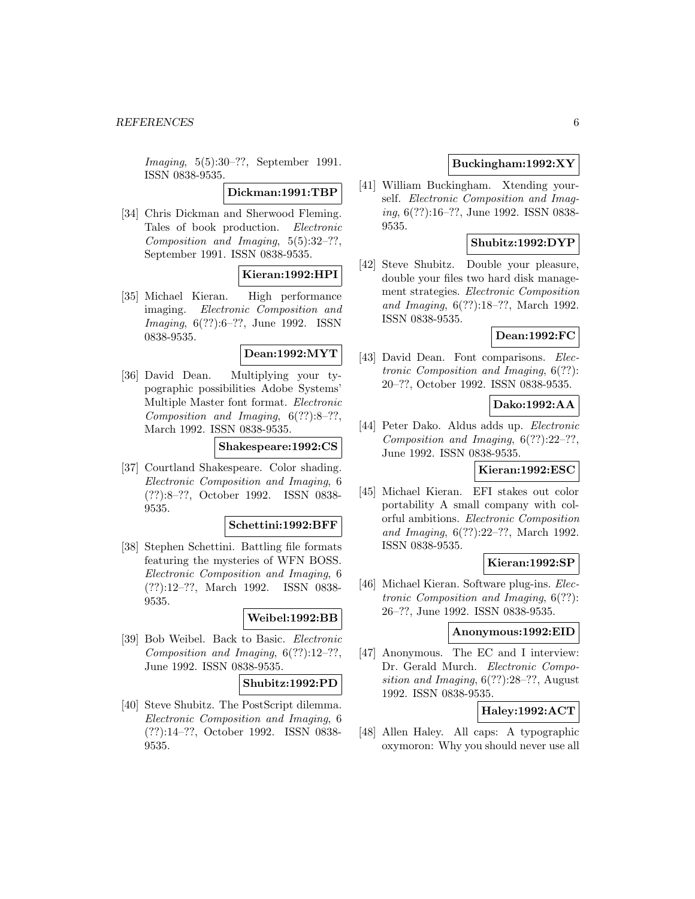Imaging, 5(5):30–??, September 1991. ISSN 0838-9535.

**Dickman:1991:TBP**

[34] Chris Dickman and Sherwood Fleming. Tales of book production. Electronic Composition and Imaging, 5(5):32–??, September 1991. ISSN 0838-9535.

# **Kieran:1992:HPI**

[35] Michael Kieran. High performance imaging. Electronic Composition and Imaging, 6(??):6–??, June 1992. ISSN 0838-9535.

# **Dean:1992:MYT**

[36] David Dean. Multiplying your typographic possibilities Adobe Systems' Multiple Master font format. Electronic Composition and Imaging,  $6(??):8-??$ , March 1992. ISSN 0838-9535.

**Shakespeare:1992:CS**

[37] Courtland Shakespeare. Color shading. Electronic Composition and Imaging, 6 (??):8–??, October 1992. ISSN 0838- 9535.

#### **Schettini:1992:BFF**

[38] Stephen Schettini. Battling file formats featuring the mysteries of WFN BOSS. Electronic Composition and Imaging, 6 (??):12–??, March 1992. ISSN 0838- 9535.

### **Weibel:1992:BB**

[39] Bob Weibel. Back to Basic. Electronic Composition and Imaging, 6(??):12–??, June 1992. ISSN 0838-9535.

#### **Shubitz:1992:PD**

[40] Steve Shubitz. The PostScript dilemma. Electronic Composition and Imaging, 6 (??):14–??, October 1992. ISSN 0838- 9535.

### **Buckingham:1992:XY**

[41] William Buckingham. Xtending yourself. Electronic Composition and Imaging, 6(??):16–??, June 1992. ISSN 0838- 9535.

### **Shubitz:1992:DYP**

[42] Steve Shubitz. Double your pleasure, double your files two hard disk management strategies. Electronic Composition and Imaging, 6(??):18–??, March 1992. ISSN 0838-9535.

### **Dean:1992:FC**

[43] David Dean. Font comparisons. Electronic Composition and Imaging, 6(??): 20–??, October 1992. ISSN 0838-9535.

#### **Dako:1992:AA**

[44] Peter Dako. Aldus adds up. Electronic Composition and Imaging, 6(??):22–??, June 1992. ISSN 0838-9535.

### **Kieran:1992:ESC**

[45] Michael Kieran. EFI stakes out color portability A small company with colorful ambitions. Electronic Composition and Imaging, 6(??):22–??, March 1992. ISSN 0838-9535.

### **Kieran:1992:SP**

[46] Michael Kieran. Software plug-ins. Electronic Composition and Imaging, 6(??): 26–??, June 1992. ISSN 0838-9535.

#### **Anonymous:1992:EID**

[47] Anonymous. The EC and I interview: Dr. Gerald Murch. Electronic Composition and Imaging, 6(??):28–??, August 1992. ISSN 0838-9535.

### **Haley:1992:ACT**

[48] Allen Haley. All caps: A typographic oxymoron: Why you should never use all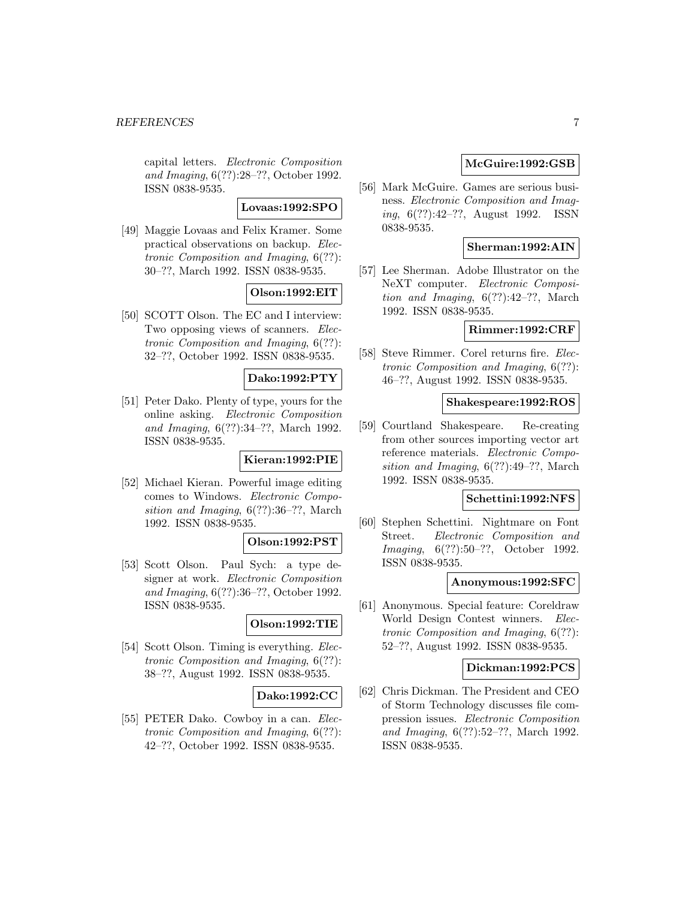capital letters. Electronic Composition and Imaging, 6(??):28–??, October 1992. ISSN 0838-9535.

**Lovaas:1992:SPO**

[49] Maggie Lovaas and Felix Kramer. Some practical observations on backup. Electronic Composition and Imaging, 6(??): 30–??, March 1992. ISSN 0838-9535.

# **Olson:1992:EIT**

[50] SCOTT Olson. The EC and I interview: Two opposing views of scanners. Electronic Composition and Imaging, 6(??): 32–??, October 1992. ISSN 0838-9535.

**Dako:1992:PTY**

[51] Peter Dako. Plenty of type, yours for the online asking. Electronic Composition and Imaging, 6(??):34–??, March 1992. ISSN 0838-9535.

#### **Kieran:1992:PIE**

[52] Michael Kieran. Powerful image editing comes to Windows. Electronic Composition and Imaging, 6(??):36–??, March 1992. ISSN 0838-9535.

#### **Olson:1992:PST**

[53] Scott Olson. Paul Sych: a type designer at work. Electronic Composition and Imaging, 6(??):36–??, October 1992. ISSN 0838-9535.

# **Olson:1992:TIE**

[54] Scott Olson. Timing is everything. *Elec*tronic Composition and Imaging, 6(??): 38–??, August 1992. ISSN 0838-9535.

### **Dako:1992:CC**

[55] PETER Dako. Cowboy in a can. Electronic Composition and Imaging, 6(??): 42–??, October 1992. ISSN 0838-9535.

### **McGuire:1992:GSB**

[56] Mark McGuire. Games are serious business. Electronic Composition and Imaging, 6(??):42–??, August 1992. ISSN 0838-9535.

### **Sherman:1992:AIN**

[57] Lee Sherman. Adobe Illustrator on the NeXT computer. Electronic Composition and Imaging,  $6(??):42-??$ , March 1992. ISSN 0838-9535.

### **Rimmer:1992:CRF**

[58] Steve Rimmer. Corel returns fire. Electronic Composition and Imaging, 6(??): 46–??, August 1992. ISSN 0838-9535.

#### **Shakespeare:1992:ROS**

[59] Courtland Shakespeare. Re-creating from other sources importing vector art reference materials. Electronic Composition and Imaging, 6(??):49–??, March 1992. ISSN 0838-9535.

#### **Schettini:1992:NFS**

[60] Stephen Schettini. Nightmare on Font Street. Electronic Composition and Imaging, 6(??):50–??, October 1992. ISSN 0838-9535.

#### **Anonymous:1992:SFC**

[61] Anonymous. Special feature: Coreldraw World Design Contest winners. Electronic Composition and Imaging, 6(??): 52–??, August 1992. ISSN 0838-9535.

### **Dickman:1992:PCS**

[62] Chris Dickman. The President and CEO of Storm Technology discusses file compression issues. Electronic Composition and Imaging, 6(??):52–??, March 1992. ISSN 0838-9535.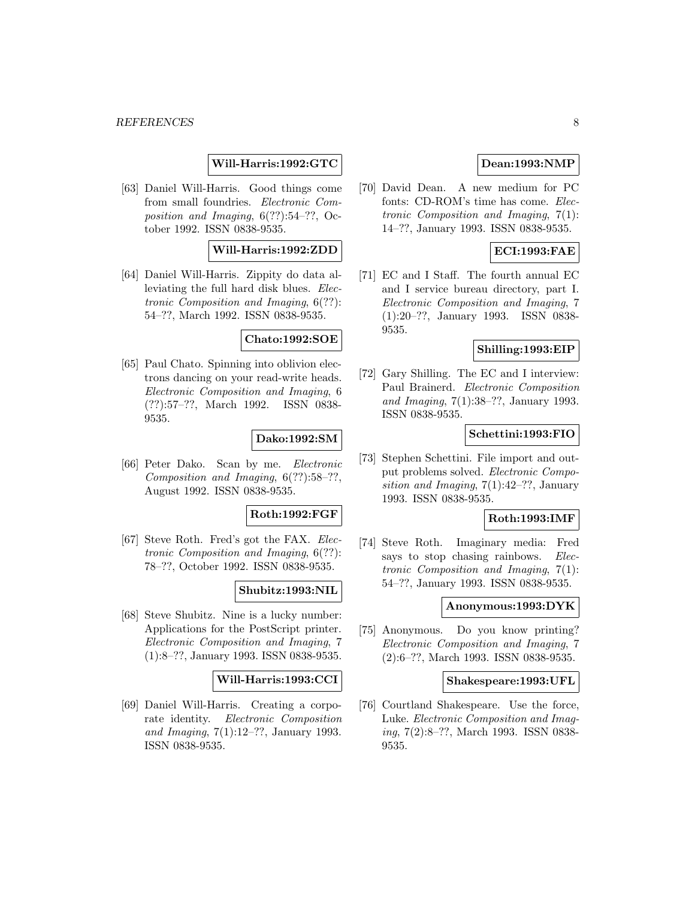### **Will-Harris:1992:GTC**

[63] Daniel Will-Harris. Good things come from small foundries. Electronic Composition and Imaging, 6(??):54–??, October 1992. ISSN 0838-9535.

#### **Will-Harris:1992:ZDD**

[64] Daniel Will-Harris. Zippity do data alleviating the full hard disk blues. Electronic Composition and Imaging, 6(??): 54–??, March 1992. ISSN 0838-9535.

#### **Chato:1992:SOE**

[65] Paul Chato. Spinning into oblivion electrons dancing on your read-write heads. Electronic Composition and Imaging, 6 (??):57–??, March 1992. ISSN 0838- 9535.

### **Dako:1992:SM**

[66] Peter Dako. Scan by me. Electronic Composition and Imaging,  $6(??):58-??$ , August 1992. ISSN 0838-9535.

#### **Roth:1992:FGF**

[67] Steve Roth. Fred's got the FAX. Electronic Composition and Imaging, 6(??): 78–??, October 1992. ISSN 0838-9535.

### **Shubitz:1993:NIL**

[68] Steve Shubitz. Nine is a lucky number: Applications for the PostScript printer. Electronic Composition and Imaging, 7 (1):8–??, January 1993. ISSN 0838-9535.

#### **Will-Harris:1993:CCI**

[69] Daniel Will-Harris. Creating a corporate identity. Electronic Composition and Imaging, 7(1):12–??, January 1993. ISSN 0838-9535.

### **Dean:1993:NMP**

[70] David Dean. A new medium for PC fonts: CD-ROM's time has come. Electronic Composition and Imaging, 7(1): 14–??, January 1993. ISSN 0838-9535.

### **ECI:1993:FAE**

[71] EC and I Staff. The fourth annual EC and I service bureau directory, part I. Electronic Composition and Imaging, 7 (1):20–??, January 1993. ISSN 0838- 9535.

#### **Shilling:1993:EIP**

[72] Gary Shilling. The EC and I interview: Paul Brainerd. Electronic Composition and Imaging, 7(1):38–??, January 1993. ISSN 0838-9535.

#### **Schettini:1993:FIO**

[73] Stephen Schettini. File import and output problems solved. Electronic Composition and Imaging, 7(1):42–??, January 1993. ISSN 0838-9535.

#### **Roth:1993:IMF**

[74] Steve Roth. Imaginary media: Fred says to stop chasing rainbows. Electronic Composition and Imaging, 7(1): 54–??, January 1993. ISSN 0838-9535.

### **Anonymous:1993:DYK**

[75] Anonymous. Do you know printing? Electronic Composition and Imaging, 7 (2):6–??, March 1993. ISSN 0838-9535.

#### **Shakespeare:1993:UFL**

[76] Courtland Shakespeare. Use the force, Luke. Electronic Composition and Imaging, 7(2):8–??, March 1993. ISSN 0838- 9535.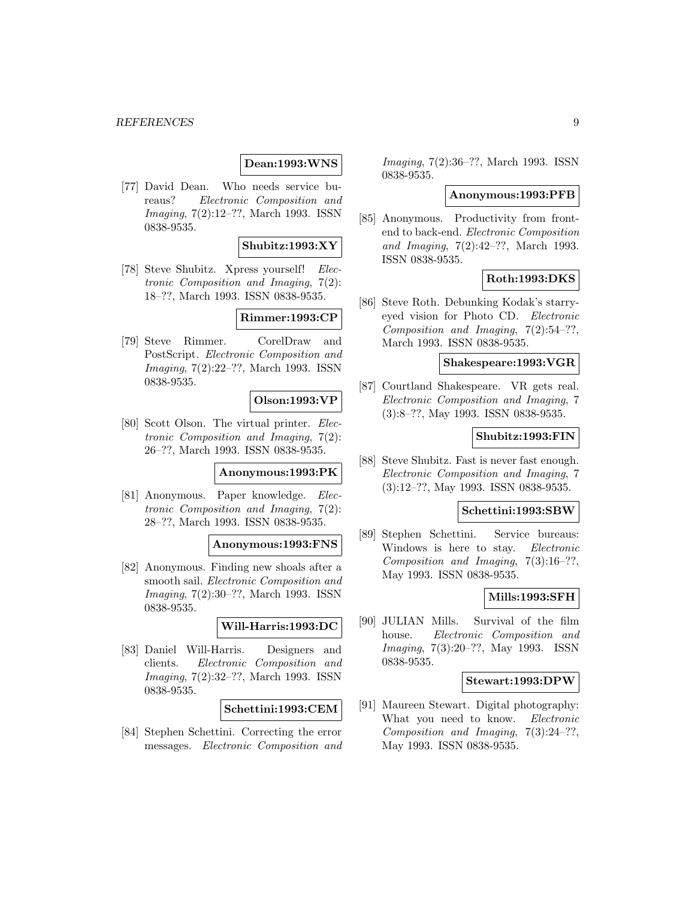#### *REFERENCES* 9

### **Dean:1993:WNS**

[77] David Dean. Who needs service bureaus? Electronic Composition and Imaging, 7(2):12–??, March 1993. ISSN 0838-9535.

### **Shubitz:1993:XY**

[78] Steve Shubitz. Xpress yourself! Electronic Composition and Imaging, 7(2): 18–??, March 1993. ISSN 0838-9535.

# **Rimmer:1993:CP**

[79] Steve Rimmer. CorelDraw and PostScript. Electronic Composition and Imaging, 7(2):22–??, March 1993. ISSN 0838-9535.

### **Olson:1993:VP**

[80] Scott Olson. The virtual printer. Electronic Composition and Imaging, 7(2): 26–??, March 1993. ISSN 0838-9535.

### **Anonymous:1993:PK**

[81] Anonymous. Paper knowledge. Electronic Composition and Imaging, 7(2): 28–??, March 1993. ISSN 0838-9535.

### **Anonymous:1993:FNS**

[82] Anonymous. Finding new shoals after a smooth sail. Electronic Composition and Imaging, 7(2):30–??, March 1993. ISSN 0838-9535.

#### **Will-Harris:1993:DC**

[83] Daniel Will-Harris. Designers and clients. Electronic Composition and Imaging, 7(2):32–??, March 1993. ISSN 0838-9535.

#### **Schettini:1993:CEM**

[84] Stephen Schettini. Correcting the error messages. Electronic Composition and Imaging, 7(2):36–??, March 1993. ISSN 0838-9535.

#### **Anonymous:1993:PFB**

[85] Anonymous. Productivity from frontend to back-end. Electronic Composition and Imaging, 7(2):42–??, March 1993. ISSN 0838-9535.

### **Roth:1993:DKS**

[86] Steve Roth. Debunking Kodak's starryeyed vision for Photo CD. Electronic Composition and Imaging, 7(2):54–??, March 1993. ISSN 0838-9535.

### **Shakespeare:1993:VGR**

[87] Courtland Shakespeare. VR gets real. Electronic Composition and Imaging, 7 (3):8–??, May 1993. ISSN 0838-9535.

### **Shubitz:1993:FIN**

[88] Steve Shubitz. Fast is never fast enough. Electronic Composition and Imaging, 7 (3):12–??, May 1993. ISSN 0838-9535.

#### **Schettini:1993:SBW**

[89] Stephen Schettini. Service bureaus: Windows is here to stay. Electronic Composition and Imaging, 7(3):16–??, May 1993. ISSN 0838-9535.

### **Mills:1993:SFH**

[90] JULIAN Mills. Survival of the film house. Electronic Composition and Imaging, 7(3):20–??, May 1993. ISSN 0838-9535.

#### **Stewart:1993:DPW**

[91] Maureen Stewart. Digital photography: What you need to know. Electronic Composition and Imaging, 7(3):24–??, May 1993. ISSN 0838-9535.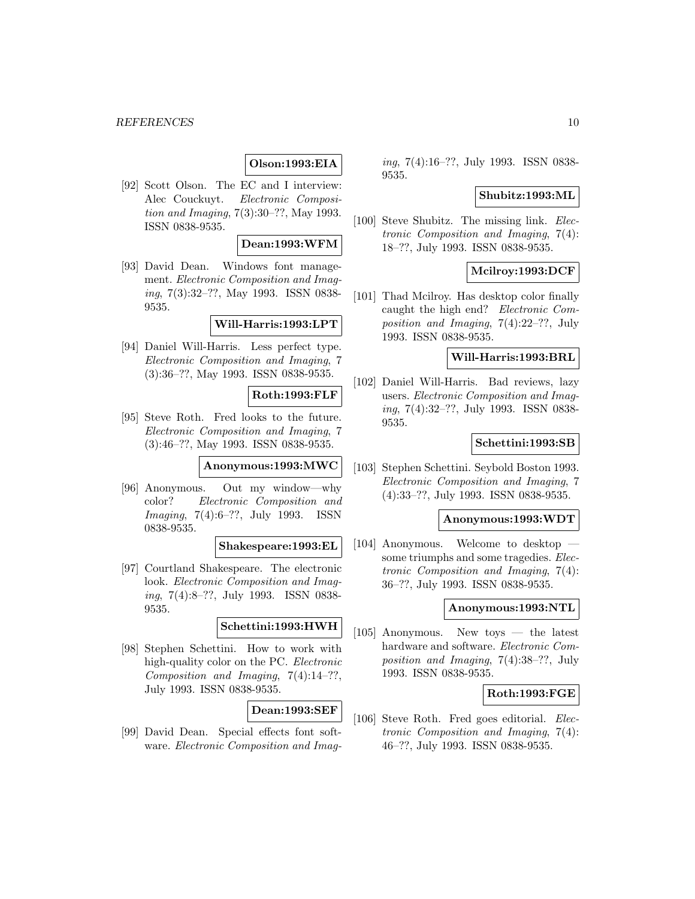### **Olson:1993:EIA**

[92] Scott Olson. The EC and I interview: Alec Couckuyt. Electronic Composition and Imaging, 7(3):30–??, May 1993. ISSN 0838-9535.

### **Dean:1993:WFM**

[93] David Dean. Windows font management. Electronic Composition and Imaging, 7(3):32–??, May 1993. ISSN 0838- 9535.

### **Will-Harris:1993:LPT**

[94] Daniel Will-Harris. Less perfect type. Electronic Composition and Imaging, 7 (3):36–??, May 1993. ISSN 0838-9535.

### **Roth:1993:FLF**

[95] Steve Roth. Fred looks to the future. Electronic Composition and Imaging, 7 (3):46–??, May 1993. ISSN 0838-9535.

**Anonymous:1993:MWC**

[96] Anonymous. Out my window—why color? Electronic Composition and Imaging, 7(4):6–??, July 1993. ISSN 0838-9535.

**Shakespeare:1993:EL**

[97] Courtland Shakespeare. The electronic look. Electronic Composition and Imaging, 7(4):8–??, July 1993. ISSN 0838- 9535.

### **Schettini:1993:HWH**

[98] Stephen Schettini. How to work with high-quality color on the PC. Electronic Composition and Imaging,  $7(4):14-??$ , July 1993. ISSN 0838-9535.

### **Dean:1993:SEF**

[99] David Dean. Special effects font software. Electronic Composition and Imaging, 7(4):16–??, July 1993. ISSN 0838- 9535.

#### **Shubitz:1993:ML**

[100] Steve Shubitz. The missing link. Electronic Composition and Imaging, 7(4): 18–??, July 1993. ISSN 0838-9535.

### **Mcilroy:1993:DCF**

[101] Thad Mcilroy. Has desktop color finally caught the high end? Electronic Composition and Imaging, 7(4):22–??, July 1993. ISSN 0838-9535.

### **Will-Harris:1993:BRL**

[102] Daniel Will-Harris. Bad reviews, lazy users. Electronic Composition and Imaging, 7(4):32–??, July 1993. ISSN 0838- 9535.

### **Schettini:1993:SB**

[103] Stephen Schettini. Seybold Boston 1993. Electronic Composition and Imaging, 7 (4):33–??, July 1993. ISSN 0838-9535.

### **Anonymous:1993:WDT**

[104] Anonymous. Welcome to desktop – some triumphs and some tragedies. Electronic Composition and Imaging, 7(4): 36–??, July 1993. ISSN 0838-9535.

#### **Anonymous:1993:NTL**

[105] Anonymous. New toys — the latest hardware and software. *Electronic Com*position and Imaging, 7(4):38–??, July 1993. ISSN 0838-9535.

### **Roth:1993:FGE**

[106] Steve Roth. Fred goes editorial. *Elec*tronic Composition and Imaging, 7(4): 46–??, July 1993. ISSN 0838-9535.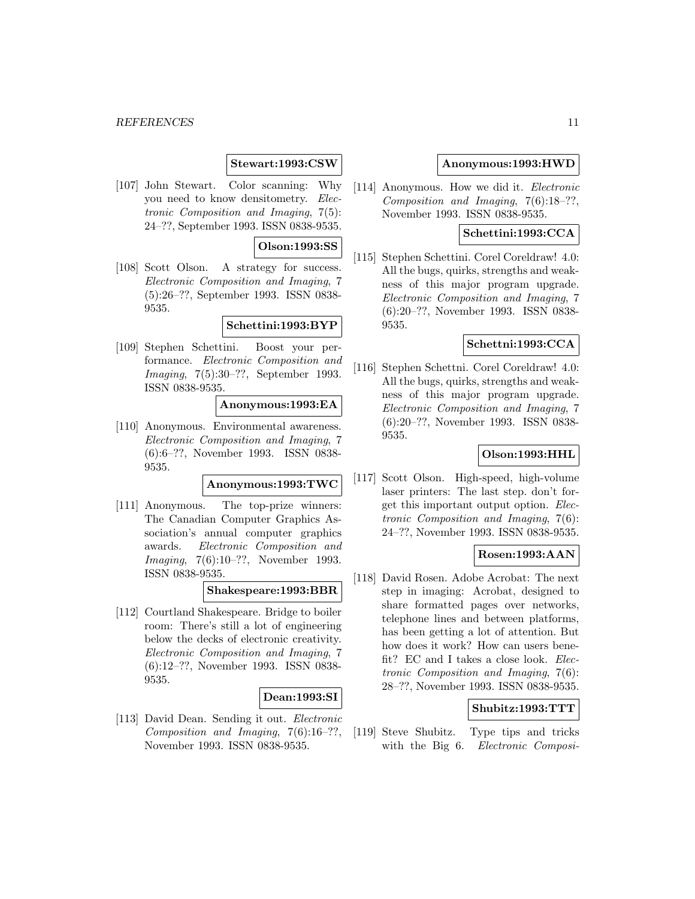#### *REFERENCES* 11

### **Stewart:1993:CSW**

[107] John Stewart. Color scanning: Why you need to know densitometry. Electronic Composition and Imaging, 7(5): 24–??, September 1993. ISSN 0838-9535.

### **Olson:1993:SS**

[108] Scott Olson. A strategy for success. Electronic Composition and Imaging, 7 (5):26–??, September 1993. ISSN 0838- 9535.

### **Schettini:1993:BYP**

[109] Stephen Schettini. Boost your performance. Electronic Composition and Imaging, 7(5):30–??, September 1993. ISSN 0838-9535.

#### **Anonymous:1993:EA**

[110] Anonymous. Environmental awareness. Electronic Composition and Imaging, 7 (6):6–??, November 1993. ISSN 0838- 9535.

#### **Anonymous:1993:TWC**

[111] Anonymous. The top-prize winners: The Canadian Computer Graphics Association's annual computer graphics awards. Electronic Composition and Imaging, 7(6):10–??, November 1993. ISSN 0838-9535.

#### **Shakespeare:1993:BBR**

[112] Courtland Shakespeare. Bridge to boiler room: There's still a lot of engineering below the decks of electronic creativity. Electronic Composition and Imaging, 7 (6):12–??, November 1993. ISSN 0838- 9535.

#### **Dean:1993:SI**

[113] David Dean. Sending it out. Electronic Composition and Imaging,  $7(6):16-??$ , November 1993. ISSN 0838-9535.

#### **Anonymous:1993:HWD**

[114] Anonymous. How we did it. Electronic Composition and Imaging, 7(6):18–??, November 1993. ISSN 0838-9535.

### **Schettini:1993:CCA**

[115] Stephen Schettini. Corel Coreldraw! 4.0: All the bugs, quirks, strengths and weakness of this major program upgrade. Electronic Composition and Imaging, 7 (6):20–??, November 1993. ISSN 0838- 9535.

### **Schettni:1993:CCA**

[116] Stephen Schettni. Corel Coreldraw! 4.0: All the bugs, quirks, strengths and weakness of this major program upgrade. Electronic Composition and Imaging, 7 (6):20–??, November 1993. ISSN 0838- 9535.

# **Olson:1993:HHL**

[117] Scott Olson. High-speed, high-volume laser printers: The last step. don't forget this important output option. Electronic Composition and Imaging, 7(6): 24–??, November 1993. ISSN 0838-9535.

### **Rosen:1993:AAN**

[118] David Rosen. Adobe Acrobat: The next step in imaging: Acrobat, designed to share formatted pages over networks, telephone lines and between platforms, has been getting a lot of attention. But how does it work? How can users benefit? EC and I takes a close look. Electronic Composition and Imaging, 7(6): 28–??, November 1993. ISSN 0838-9535.

#### **Shubitz:1993:TTT**

[119] Steve Shubitz. Type tips and tricks with the Big 6. Electronic Composi-